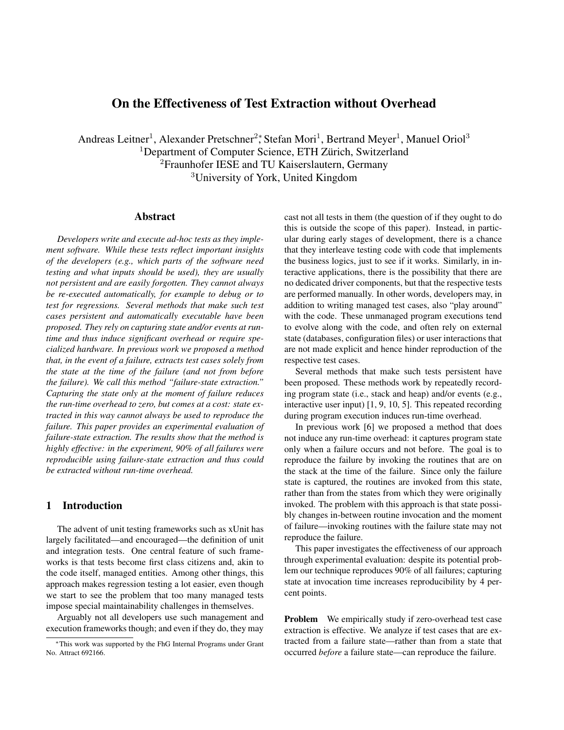# On the Effectiveness of Test Extraction without Overhead

Andreas Leitner<sup>1</sup>, Alexander Pretschner<sup>2</sup>, Stefan Mori<sup>1</sup>, Bertrand Meyer<sup>1</sup>, Manuel Oriol<sup>3</sup> <sup>1</sup>Department of Computer Science, ETH Zürich, Switzerland <sup>2</sup>Fraunhofer IESE and TU Kaiserslautern, Germany <sup>3</sup>University of York, United Kingdom

#### Abstract

*Developers write and execute ad-hoc tests as they implement software. While these tests reflect important insights of the developers (e.g., which parts of the software need testing and what inputs should be used), they are usually not persistent and are easily forgotten. They cannot always be re-executed automatically, for example to debug or to test for regressions. Several methods that make such test cases persistent and automatically executable have been proposed. They rely on capturing state and/or events at runtime and thus induce significant overhead or require specialized hardware. In previous work we proposed a method that, in the event of a failure, extracts test cases solely from the state at the time of the failure (and not from before the failure). We call this method "failure-state extraction." Capturing the state only at the moment of failure reduces the run-time overhead to zero, but comes at a cost: state extracted in this way cannot always be used to reproduce the failure. This paper provides an experimental evaluation of failure-state extraction. The results show that the method is highly effective: in the experiment, 90% of all failures were reproducible using failure-state extraction and thus could be extracted without run-time overhead.*

### 1 Introduction

The advent of unit testing frameworks such as xUnit has largely facilitated—and encouraged—the definition of unit and integration tests. One central feature of such frameworks is that tests become first class citizens and, akin to the code itself, managed entities. Among other things, this approach makes regression testing a lot easier, even though we start to see the problem that too many managed tests impose special maintainability challenges in themselves.

Arguably not all developers use such management and execution frameworks though; and even if they do, they may

cast not all tests in them (the question of if they ought to do this is outside the scope of this paper). Instead, in particular during early stages of development, there is a chance that they interleave testing code with code that implements the business logics, just to see if it works. Similarly, in interactive applications, there is the possibility that there are no dedicated driver components, but that the respective tests are performed manually. In other words, developers may, in addition to writing managed test cases, also "play around" with the code. These unmanaged program executions tend to evolve along with the code, and often rely on external state (databases, configuration files) or user interactions that are not made explicit and hence hinder reproduction of the respective test cases.

Several methods that make such tests persistent have been proposed. These methods work by repeatedly recording program state (i.e., stack and heap) and/or events (e.g., interactive user input) [1, 9, 10, 5]. This repeated recording during program execution induces run-time overhead.

In previous work [6] we proposed a method that does not induce any run-time overhead: it captures program state only when a failure occurs and not before. The goal is to reproduce the failure by invoking the routines that are on the stack at the time of the failure. Since only the failure state is captured, the routines are invoked from this state, rather than from the states from which they were originally invoked. The problem with this approach is that state possibly changes in-between routine invocation and the moment of failure—invoking routines with the failure state may not reproduce the failure.

This paper investigates the effectiveness of our approach through experimental evaluation: despite its potential problem our technique reproduces 90% of all failures; capturing state at invocation time increases reproducibility by 4 percent points.

Problem We empirically study if zero-overhead test case extraction is effective. We analyze if test cases that are extracted from a failure state—rather than from a state that occurred *before* a failure state—can reproduce the failure.

<sup>∗</sup>This work was supported by the FhG Internal Programs under Grant No. Attract 692166.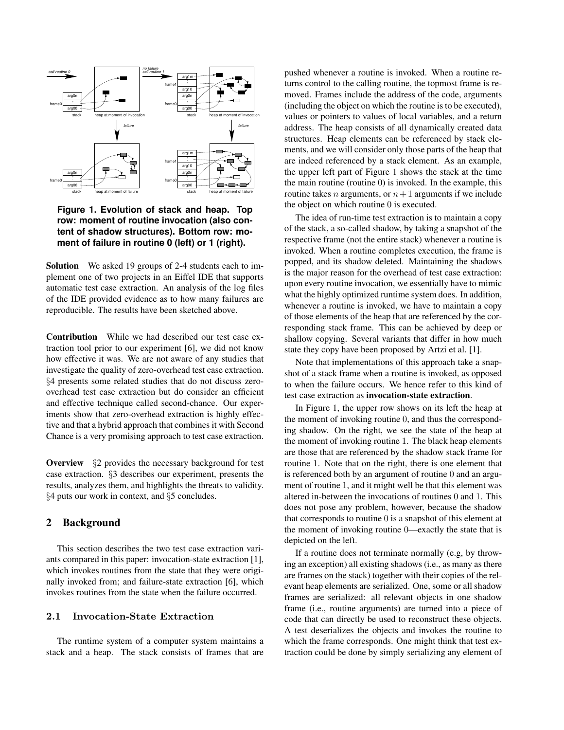

**Figure 1. Evolution of stack and heap. Top row: moment of routine invocation (also content of shadow structures). Bottom row: moment of failure in routine 0 (left) or 1 (right).**

Solution We asked 19 groups of 2-4 students each to implement one of two projects in an Eiffel IDE that supports automatic test case extraction. An analysis of the log files of the IDE provided evidence as to how many failures are reproducible. The results have been sketched above.

Contribution While we had described our test case extraction tool prior to our experiment [6], we did not know how effective it was. We are not aware of any studies that investigate the quality of zero-overhead test case extraction. §4 presents some related studies that do not discuss zerooverhead test case extraction but do consider an efficient and effective technique called second-chance. Our experiments show that zero-overhead extraction is highly effective and that a hybrid approach that combines it with Second Chance is a very promising approach to test case extraction.

Overview §2 provides the necessary background for test case extraction. §3 describes our experiment, presents the results, analyzes them, and highlights the threats to validity. §4 puts our work in context, and §5 concludes.

# 2 Background

This section describes the two test case extraction variants compared in this paper: invocation-state extraction [1], which invokes routines from the state that they were originally invoked from; and failure-state extraction [6], which invokes routines from the state when the failure occurred.

# 2.1 Invocation-State Extraction

The runtime system of a computer system maintains a stack and a heap. The stack consists of frames that are pushed whenever a routine is invoked. When a routine returns control to the calling routine, the topmost frame is removed. Frames include the address of the code, arguments (including the object on which the routine is to be executed), values or pointers to values of local variables, and a return address. The heap consists of all dynamically created data structures. Heap elements can be referenced by stack elements, and we will consider only those parts of the heap that are indeed referenced by a stack element. As an example, the upper left part of Figure 1 shows the stack at the time the main routine (routine 0) is invoked. In the example, this routine takes *n* arguments, or  $n+1$  arguments if we include the object on which routine 0 is executed.

The idea of run-time test extraction is to maintain a copy of the stack, a so-called shadow, by taking a snapshot of the respective frame (not the entire stack) whenever a routine is invoked. When a routine completes execution, the frame is popped, and its shadow deleted. Maintaining the shadows is the major reason for the overhead of test case extraction: upon every routine invocation, we essentially have to mimic what the highly optimized runtime system does. In addition, whenever a routine is invoked, we have to maintain a copy of those elements of the heap that are referenced by the corresponding stack frame. This can be achieved by deep or shallow copying. Several variants that differ in how much state they copy have been proposed by Artzi et al. [1].

Note that implementations of this approach take a snapshot of a stack frame when a routine is invoked, as opposed to when the failure occurs. We hence refer to this kind of test case extraction as invocation-state extraction.

In Figure 1, the upper row shows on its left the heap at the moment of invoking routine 0, and thus the corresponding shadow. On the right, we see the state of the heap at the moment of invoking routine 1. The black heap elements are those that are referenced by the shadow stack frame for routine 1. Note that on the right, there is one element that is referenced both by an argument of routine 0 and an argument of routine 1, and it might well be that this element was altered in-between the invocations of routines 0 and 1. This does not pose any problem, however, because the shadow that corresponds to routine  $\theta$  is a snapshot of this element at the moment of invoking routine 0—exactly the state that is depicted on the left.

If a routine does not terminate normally (e.g, by throwing an exception) all existing shadows (i.e., as many as there are frames on the stack) together with their copies of the relevant heap elements are serialized. One, some or all shadow frames are serialized: all relevant objects in one shadow frame (i.e., routine arguments) are turned into a piece of code that can directly be used to reconstruct these objects. A test deserializes the objects and invokes the routine to which the frame corresponds. One might think that test extraction could be done by simply serializing any element of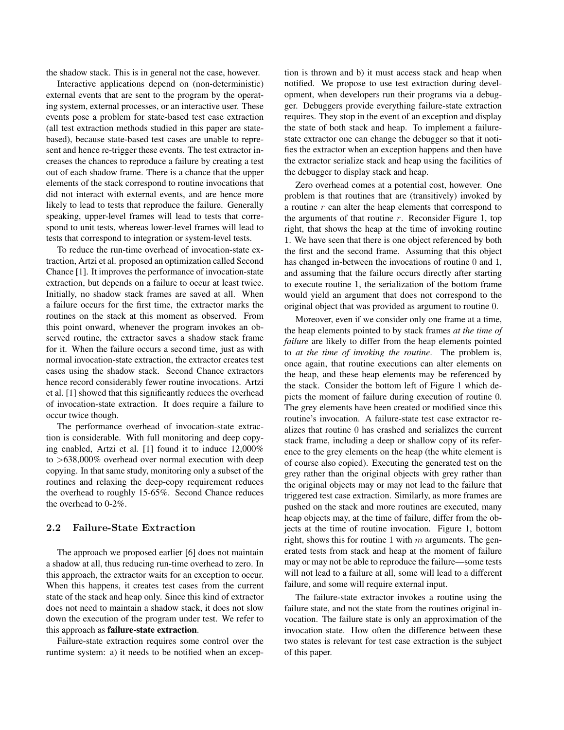the shadow stack. This is in general not the case, however.

Interactive applications depend on (non-deterministic) external events that are sent to the program by the operating system, external processes, or an interactive user. These events pose a problem for state-based test case extraction (all test extraction methods studied in this paper are statebased), because state-based test cases are unable to represent and hence re-trigger these events. The test extractor increases the chances to reproduce a failure by creating a test out of each shadow frame. There is a chance that the upper elements of the stack correspond to routine invocations that did not interact with external events, and are hence more likely to lead to tests that reproduce the failure. Generally speaking, upper-level frames will lead to tests that correspond to unit tests, whereas lower-level frames will lead to tests that correspond to integration or system-level tests.

To reduce the run-time overhead of invocation-state extraction, Artzi et al. proposed an optimization called Second Chance [1]. It improves the performance of invocation-state extraction, but depends on a failure to occur at least twice. Initially, no shadow stack frames are saved at all. When a failure occurs for the first time, the extractor marks the routines on the stack at this moment as observed. From this point onward, whenever the program invokes an observed routine, the extractor saves a shadow stack frame for it. When the failure occurs a second time, just as with normal invocation-state extraction, the extractor creates test cases using the shadow stack. Second Chance extractors hence record considerably fewer routine invocations. Artzi et al. [1] showed that this significantly reduces the overhead of invocation-state extraction. It does require a failure to occur twice though.

The performance overhead of invocation-state extraction is considerable. With full monitoring and deep copying enabled, Artzi et al. [1] found it to induce 12,000% to >638,000% overhead over normal execution with deep copying. In that same study, monitoring only a subset of the routines and relaxing the deep-copy requirement reduces the overhead to roughly 15-65%. Second Chance reduces the overhead to 0-2%.

### 2.2 Failure-State Extraction

The approach we proposed earlier [6] does not maintain a shadow at all, thus reducing run-time overhead to zero. In this approach, the extractor waits for an exception to occur. When this happens, it creates test cases from the current state of the stack and heap only. Since this kind of extractor does not need to maintain a shadow stack, it does not slow down the execution of the program under test. We refer to this approach as failure-state extraction.

Failure-state extraction requires some control over the runtime system: a) it needs to be notified when an exception is thrown and b) it must access stack and heap when notified. We propose to use test extraction during development, when developers run their programs via a debugger. Debuggers provide everything failure-state extraction requires. They stop in the event of an exception and display the state of both stack and heap. To implement a failurestate extractor one can change the debugger so that it notifies the extractor when an exception happens and then have the extractor serialize stack and heap using the facilities of the debugger to display stack and heap.

Zero overhead comes at a potential cost, however. One problem is that routines that are (transitively) invoked by a routine  $r$  can alter the heap elements that correspond to the arguments of that routine  $r$ . Reconsider Figure 1, top right, that shows the heap at the time of invoking routine 1. We have seen that there is one object referenced by both the first and the second frame. Assuming that this object has changed in-between the invocations of routine 0 and 1, and assuming that the failure occurs directly after starting to execute routine 1, the serialization of the bottom frame would yield an argument that does not correspond to the original object that was provided as argument to routine 0.

Moreover, even if we consider only one frame at a time, the heap elements pointed to by stack frames *at the time of failure* are likely to differ from the heap elements pointed to *at the time of invoking the routine*. The problem is, once again, that routine executions can alter elements on the heap, and these heap elements may be referenced by the stack. Consider the bottom left of Figure 1 which depicts the moment of failure during execution of routine 0. The grey elements have been created or modified since this routine's invocation. A failure-state test case extractor realizes that routine 0 has crashed and serializes the current stack frame, including a deep or shallow copy of its reference to the grey elements on the heap (the white element is of course also copied). Executing the generated test on the grey rather than the original objects with grey rather than the original objects may or may not lead to the failure that triggered test case extraction. Similarly, as more frames are pushed on the stack and more routines are executed, many heap objects may, at the time of failure, differ from the objects at the time of routine invocation. Figure 1, bottom right, shows this for routine 1 with  $m$  arguments. The generated tests from stack and heap at the moment of failure may or may not be able to reproduce the failure—some tests will not lead to a failure at all, some will lead to a different failure, and some will require external input.

The failure-state extractor invokes a routine using the failure state, and not the state from the routines original invocation. The failure state is only an approximation of the invocation state. How often the difference between these two states is relevant for test case extraction is the subject of this paper.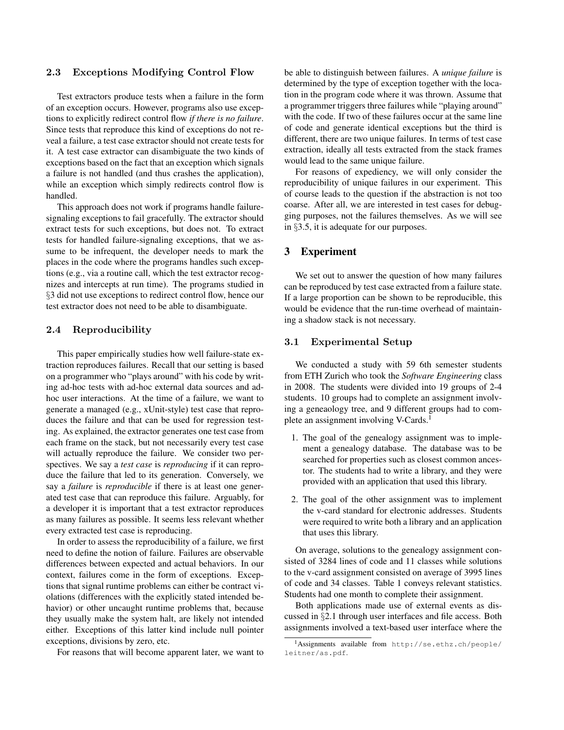### 2.3 Exceptions Modifying Control Flow

Test extractors produce tests when a failure in the form of an exception occurs. However, programs also use exceptions to explicitly redirect control flow *if there is no failure*. Since tests that reproduce this kind of exceptions do not reveal a failure, a test case extractor should not create tests for it. A test case extractor can disambiguate the two kinds of exceptions based on the fact that an exception which signals a failure is not handled (and thus crashes the application), while an exception which simply redirects control flow is handled.

This approach does not work if programs handle failuresignaling exceptions to fail gracefully. The extractor should extract tests for such exceptions, but does not. To extract tests for handled failure-signaling exceptions, that we assume to be infrequent, the developer needs to mark the places in the code where the programs handles such exceptions (e.g., via a routine call, which the test extractor recognizes and intercepts at run time). The programs studied in §3 did not use exceptions to redirect control flow, hence our test extractor does not need to be able to disambiguate.

### 2.4 Reproducibility

This paper empirically studies how well failure-state extraction reproduces failures. Recall that our setting is based on a programmer who "plays around" with his code by writing ad-hoc tests with ad-hoc external data sources and adhoc user interactions. At the time of a failure, we want to generate a managed (e.g., xUnit-style) test case that reproduces the failure and that can be used for regression testing. As explained, the extractor generates one test case from each frame on the stack, but not necessarily every test case will actually reproduce the failure. We consider two perspectives. We say a *test case* is *reproducing* if it can reproduce the failure that led to its generation. Conversely, we say a *failure* is *reproducible* if there is at least one generated test case that can reproduce this failure. Arguably, for a developer it is important that a test extractor reproduces as many failures as possible. It seems less relevant whether every extracted test case is reproducing.

In order to assess the reproducibility of a failure, we first need to define the notion of failure. Failures are observable differences between expected and actual behaviors. In our context, failures come in the form of exceptions. Exceptions that signal runtime problems can either be contract violations (differences with the explicitly stated intended behavior) or other uncaught runtime problems that, because they usually make the system halt, are likely not intended either. Exceptions of this latter kind include null pointer exceptions, divisions by zero, etc.

For reasons that will become apparent later, we want to

be able to distinguish between failures. A *unique failure* is determined by the type of exception together with the location in the program code where it was thrown. Assume that a programmer triggers three failures while "playing around" with the code. If two of these failures occur at the same line of code and generate identical exceptions but the third is different, there are two unique failures. In terms of test case extraction, ideally all tests extracted from the stack frames would lead to the same unique failure.

For reasons of expediency, we will only consider the reproducibility of unique failures in our experiment. This of course leads to the question if the abstraction is not too coarse. After all, we are interested in test cases for debugging purposes, not the failures themselves. As we will see in §3.5, it is adequate for our purposes.

#### 3 Experiment

We set out to answer the question of how many failures can be reproduced by test case extracted from a failure state. If a large proportion can be shown to be reproducible, this would be evidence that the run-time overhead of maintaining a shadow stack is not necessary.

# 3.1 Experimental Setup

We conducted a study with 59 6th semester students from ETH Zurich who took the *Software Engineering* class in 2008. The students were divided into 19 groups of 2-4 students. 10 groups had to complete an assignment involving a geneaology tree, and 9 different groups had to complete an assignment involving V-Cards.<sup>1</sup>

- 1. The goal of the genealogy assignment was to implement a genealogy database. The database was to be searched for properties such as closest common ancestor. The students had to write a library, and they were provided with an application that used this library.
- 2. The goal of the other assignment was to implement the v-card standard for electronic addresses. Students were required to write both a library and an application that uses this library.

On average, solutions to the genealogy assignment consisted of 3284 lines of code and 11 classes while solutions to the v-card assignment consisted on average of 3995 lines of code and 34 classes. Table 1 conveys relevant statistics. Students had one month to complete their assignment.

Both applications made use of external events as discussed in §2.1 through user interfaces and file access. Both assignments involved a text-based user interface where the

<sup>1</sup>Assignments available from http://se.ethz.ch/people/ leitner/as.pdf.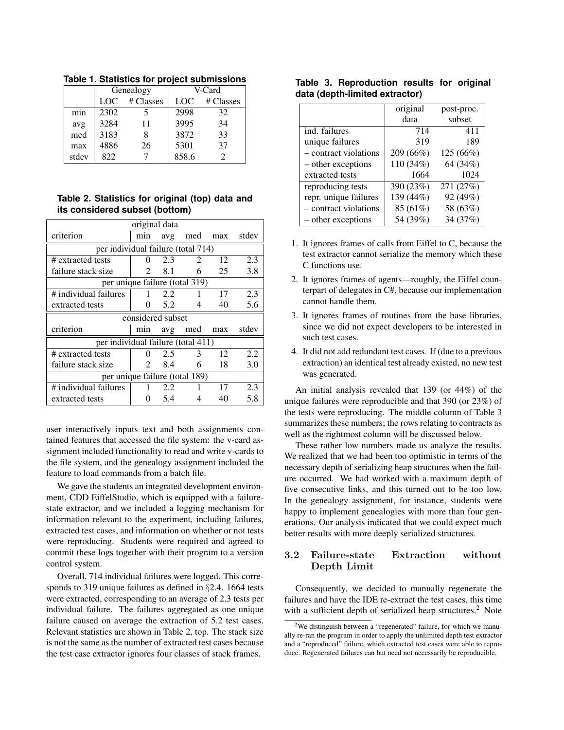|       | Genealogy |           | V-Card |           |  |
|-------|-----------|-----------|--------|-----------|--|
|       | LOC.      | # Classes | LOC.   | # Classes |  |
| min   | 2302      |           | 2998   | 32        |  |
| avg   | 3284      | 11        | 3995   | 34        |  |
| med   | 3183      | 8         | 3872   | 33        |  |
| max   | 4886      | 26        | 5301   | 37        |  |
| stdev | 822       |           | 858.6  |           |  |

**Table 1. Statistics for project submissions**

# **Table 2. Statistics for original (top) data and its considered subset (bottom)**

| original data                      |                   |     |                             |     |       |  |
|------------------------------------|-------------------|-----|-----------------------------|-----|-------|--|
| criterion                          | min               | avg | med                         | max | stdev |  |
| per individual failure (total 714) |                   |     |                             |     |       |  |
| # extracted tests                  | $\Omega$          | 2.3 | $\mathcal{D}_{\mathcal{L}}$ | 12  | 2.3   |  |
| failure stack size                 | $\mathfrak{D}$    | 8.1 | 6                           | 25  | 3.8   |  |
| per unique failure (total 319)     |                   |     |                             |     |       |  |
| # individual failures              |                   | 2.2 |                             | 17  | 2.3   |  |
| extracted tests                    | $\Omega$          | 5.2 | 4                           | 40  | 5.6   |  |
| considered subset                  |                   |     |                             |     |       |  |
|                                    |                   |     |                             |     |       |  |
| criterion                          | min               | avg | med                         | max | stdev |  |
| per individual failure (total 411) |                   |     |                             |     |       |  |
| # extracted tests                  | $\mathbf{\Omega}$ | 2.5 | 3                           | 12  | 2.2   |  |
| failure stack size                 | $\mathcal{L}$     | 8.4 | 6                           | 18  | 3.0   |  |
| per unique failure (total 189)     |                   |     |                             |     |       |  |
| # individual failures              |                   | 2.2 |                             | 17  | 2.3   |  |

user interactively inputs text and both assignments contained features that accessed the file system: the v-card assignment included functionality to read and write v-cards to the file system, and the genealogy assignment included the feature to load commands from a batch file.

We gave the students an integrated development environment, CDD EiffelStudio, which is equipped with a failurestate extractor, and we included a logging mechanism for information relevant to the experiment, including failures, extracted test cases, and information on whether or not tests were reproducing. Students were required and agreed to commit these logs together with their program to a version control system.

Overall, 714 individual failures were logged. This corresponds to 319 unique failures as defined in §2.4. 1664 tests were extracted, corresponding to an average of 2.3 tests per individual failure. The failures aggregated as one unique failure caused on average the extraction of 5.2 test cases. Relevant statistics are shown in Table 2, top. The stack size is not the same as the number of extracted test cases because the test case extractor ignores four classes of stack frames.

|  | Table 3. Reproduction results for original |  |  |
|--|--------------------------------------------|--|--|
|  | data (depth-limited extractor)             |  |  |

|                       | original  | post-proc. |
|-----------------------|-----------|------------|
|                       | data      | subset     |
| ind. failures         | 714       | 411        |
| unique failures       | 319       | 189        |
| - contract violations | 209 (66%) | 125 (66%)  |
| - other exceptions    | 110 (34%) | 64 (34%)   |
| extracted tests       | 1664      | 1024       |
| reproducing tests     | 390 (23%) | 271 (27%)  |
| repr. unique failures | 139 (44%) | 92 (49%)   |
| - contract violations | 85 (61%)  | 58 (63%)   |
| – other exceptions    | 54 (39%)  | 34 (37%)   |

- 1. It ignores frames of calls from Eiffel to C, because the test extractor cannot serialize the memory which these C functions use.
- 2. It ignores frames of agents—roughly, the Eiffel counterpart of delegates in C#, because our implementation cannot handle them.
- 3. It ignores frames of routines from the base libraries, since we did not expect developers to be interested in such test cases.
- 4. It did not add redundant test cases. If (due to a previous extraction) an identical test already existed, no new test was generated.

An initial analysis revealed that 139 (or 44%) of the unique failures were reproducible and that 390 (or 23%) of the tests were reproducing. The middle column of Table 3 summarizes these numbers; the rows relating to contracts as well as the rightmost column will be discussed below.

These rather low numbers made us analyze the results. We realized that we had been too optimistic in terms of the necessary depth of serializing heap structures when the failure occurred. We had worked with a maximum depth of five consecutive links, and this turned out to be too low. In the genealogy assignment, for instance, students were happy to implement genealogies with more than four generations. Our analysis indicated that we could expect much better results with more deeply serialized structures.

# 3.2 Failure-state Extraction without Depth Limit

Consequently, we decided to manually regenerate the failures and have the IDE re-extract the test cases, this time with a sufficient depth of serialized heap structures.<sup>2</sup> Note

<sup>2</sup>We distinguish between a "regenerated" failure, for which we manually re-ran the program in order to apply the unlimited depth test extractor and a "reproduced" failure, which extracted test cases were able to reproduce. Regenerated failures can but need not necessarily be reproducible.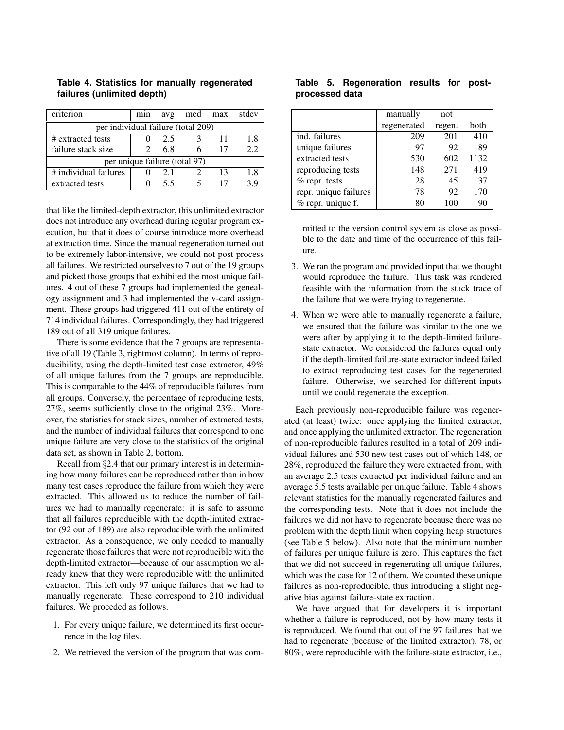| criterion                          | min | avg | med max |    | stdev |
|------------------------------------|-----|-----|---------|----|-------|
| per individual failure (total 209) |     |     |         |    |       |
| # extracted tests                  |     | 2.5 |         |    | 1.8   |
| failure stack size                 |     | 68  |         | 17 | 2.2.  |
| per unique failure (total 97)      |     |     |         |    |       |
| # individual failures              |     | 2.1 |         | 13 | 1.8   |
| extracted tests                    |     | 55  |         |    | 3.9   |

# **Table 4. Statistics for manually regenerated failures (unlimited depth)**

that like the limited-depth extractor, this unlimited extractor does not introduce any overhead during regular program execution, but that it does of course introduce more overhead at extraction time. Since the manual regeneration turned out to be extremely labor-intensive, we could not post process all failures. We restricted ourselves to 7 out of the 19 groups and picked those groups that exhibited the most unique failures. 4 out of these 7 groups had implemented the genealogy assignment and 3 had implemented the v-card assignment. These groups had triggered 411 out of the entirety of 714 individual failures. Correspondingly, they had triggered 189 out of all 319 unique failures.

There is some evidence that the 7 groups are representative of all 19 (Table 3, rightmost column). In terms of reproducibility, using the depth-limited test case extractor, 49% of all unique failures from the 7 groups are reproducible. This is comparable to the 44% of reproducible failures from all groups. Conversely, the percentage of reproducing tests, 27%, seems sufficiently close to the original 23%. Moreover, the statistics for stack sizes, number of extracted tests, and the number of individual failures that correspond to one unique failure are very close to the statistics of the original data set, as shown in Table 2, bottom.

Recall from §2.4 that our primary interest is in determining how many failures can be reproduced rather than in how many test cases reproduce the failure from which they were extracted. This allowed us to reduce the number of failures we had to manually regenerate: it is safe to assume that all failures reproducible with the depth-limited extractor (92 out of 189) are also reproducible with the unlimited extractor. As a consequence, we only needed to manually regenerate those failures that were not reproducible with the depth-limited extractor—because of our assumption we already knew that they were reproducible with the unlimited extractor. This left only 97 unique failures that we had to manually regenerate. These correspond to 210 individual failures. We proceded as follows.

- 1. For every unique failure, we determined its first occurrence in the log files.
- 2. We retrieved the version of the program that was com-

### **Table 5. Regeneration results for postprocessed data**

|                       | manually    | not    |      |
|-----------------------|-------------|--------|------|
|                       | regenerated | regen. | both |
| ind. failures         | 209         | 201    | 410  |
| unique failures       | 97          | 92     | 189  |
| extracted tests       | 530         | 602    | 1132 |
| reproducing tests     | 148         | 271    | 419  |
| $%$ repr. tests       | 28          | 45     | 37   |
| repr. unique failures | 78          | 92     | 170  |
| $%$ repr. unique f.   | 80          |        |      |

mitted to the version control system as close as possible to the date and time of the occurrence of this failure.

- 3. We ran the program and provided input that we thought would reproduce the failure. This task was rendered feasible with the information from the stack trace of the failure that we were trying to regenerate.
- 4. When we were able to manually regenerate a failure, we ensured that the failure was similar to the one we were after by applying it to the depth-limited failurestate extractor. We considered the failures equal only if the depth-limited failure-state extractor indeed failed to extract reproducing test cases for the regenerated failure. Otherwise, we searched for different inputs until we could regenerate the exception.

Each previously non-reproducible failure was regenerated (at least) twice: once applying the limited extractor, and once applying the unlimited extractor. The regeneration of non-reproducible failures resulted in a total of 209 individual failures and 530 new test cases out of which 148, or 28%, reproduced the failure they were extracted from, with an average 2.5 tests extracted per individual failure and an average 5.5 tests available per unique failure. Table 4 shows relevant statistics for the manually regenerated failures and the corresponding tests. Note that it does not include the failures we did not have to regenerate because there was no problem with the depth limit when copying heap structures (see Table 5 below). Also note that the minimum number of failures per unique failure is zero. This captures the fact that we did not succeed in regenerating all unique failures, which was the case for 12 of them. We counted these unique failures as non-reproducible, thus introducing a slight negative bias against failure-state extraction.

We have argued that for developers it is important whether a failure is reproduced, not by how many tests it is reproduced. We found that out of the 97 failures that we had to regenerate (because of the limited extractor), 78, or 80%, were reproducible with the failure-state extractor, i.e.,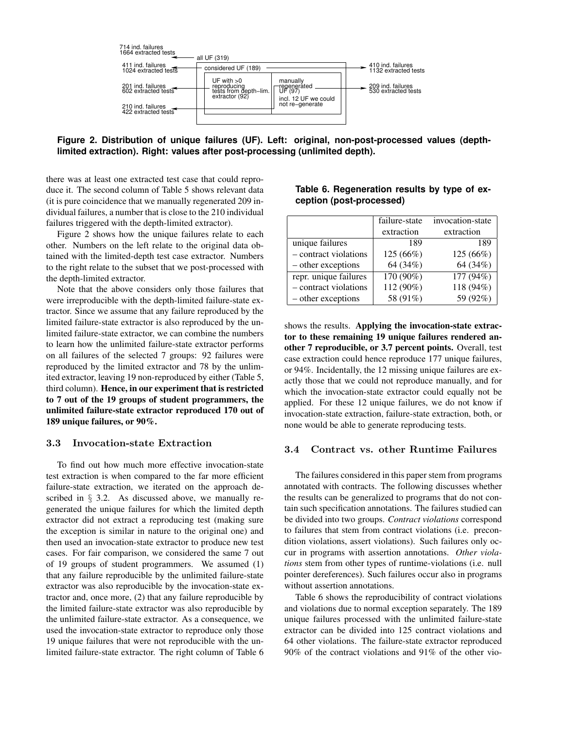

**Figure 2. Distribution of unique failures (UF). Left: original, non-post-processed values (depthlimited extraction). Right: values after post-processing (unlimited depth).**

there was at least one extracted test case that could reproduce it. The second column of Table 5 shows relevant data (it is pure coincidence that we manually regenerated 209 individual failures, a number that is close to the 210 individual failures triggered with the depth-limited extractor).

Figure 2 shows how the unique failures relate to each other. Numbers on the left relate to the original data obtained with the limited-depth test case extractor. Numbers to the right relate to the subset that we post-processed with the depth-limited extractor.

Note that the above considers only those failures that were irreproducible with the depth-limited failure-state extractor. Since we assume that any failure reproduced by the limited failure-state extractor is also reproduced by the unlimited failure-state extractor, we can combine the numbers to learn how the unlimited failure-state extractor performs on all failures of the selected 7 groups: 92 failures were reproduced by the limited extractor and 78 by the unlimited extractor, leaving 19 non-reproduced by either (Table 5, third column). Hence, in our experiment that is restricted to 7 out of the 19 groups of student programmers, the unlimited failure-state extractor reproduced 170 out of 189 unique failures, or 90%.

#### 3.3 Invocation-state Extraction

To find out how much more effective invocation-state test extraction is when compared to the far more efficient failure-state extraction, we iterated on the approach described in § 3.2. As discussed above, we manually regenerated the unique failures for which the limited depth extractor did not extract a reproducing test (making sure the exception is similar in nature to the original one) and then used an invocation-state extractor to produce new test cases. For fair comparison, we considered the same 7 out of 19 groups of student programmers. We assumed (1) that any failure reproducible by the unlimited failure-state extractor was also reproducible by the invocation-state extractor and, once more, (2) that any failure reproducible by the limited failure-state extractor was also reproducible by the unlimited failure-state extractor. As a consequence, we used the invocation-state extractor to reproduce only those 19 unique failures that were not reproducible with the unlimited failure-state extractor. The right column of Table 6

|                       | failure-state | invocation-state |
|-----------------------|---------------|------------------|
|                       | extraction    | extraction       |
| unique failures       | 189           | 189              |
| - contract violations | 125(66%)      | 125(66%)         |
| - other exceptions    | 64 (34%)      | 64 (34%)         |
| repr. unique failures | 170 (90%)     | 177 (94%)        |
| - contract violations | 112 (90%)     | 118 (94%)        |
| - other exceptions    | 58 (91%)      | 59 (92%)         |

**Table 6. Regeneration results by type of exception (post-processed)**

shows the results. Applying the invocation-state extractor to these remaining 19 unique failures rendered another 7 reproducible, or 3.7 percent points. Overall, test case extraction could hence reproduce 177 unique failures, or 94%. Incidentally, the 12 missing unique failures are exactly those that we could not reproduce manually, and for which the invocation-state extractor could equally not be applied. For these 12 unique failures, we do not know if invocation-state extraction, failure-state extraction, both, or none would be able to generate reproducing tests.

#### 3.4 Contract vs. other Runtime Failures

The failures considered in this paper stem from programs annotated with contracts. The following discusses whether the results can be generalized to programs that do not contain such specification annotations. The failures studied can be divided into two groups. *Contract violations* correspond to failures that stem from contract violations (i.e. precondition violations, assert violations). Such failures only occur in programs with assertion annotations. *Other violations* stem from other types of runtime-violations (i.e. null pointer dereferences). Such failures occur also in programs without assertion annotations.

Table 6 shows the reproducibility of contract violations and violations due to normal exception separately. The 189 unique failures processed with the unlimited failure-state extractor can be divided into 125 contract violations and 64 other violations. The failure-state extractor reproduced 90% of the contract violations and 91% of the other vio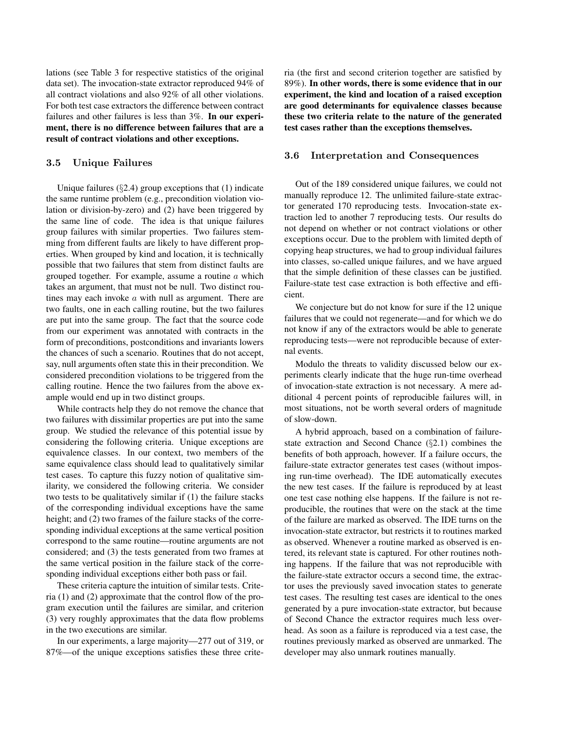lations (see Table 3 for respective statistics of the original data set). The invocation-state extractor reproduced 94% of all contract violations and also 92% of all other violations. For both test case extractors the difference between contract failures and other failures is less than 3%. In our experiment, there is no difference between failures that are a result of contract violations and other exceptions.

#### 3.5 Unique Failures

Unique failures  $(\S2.4)$  group exceptions that (1) indicate the same runtime problem (e.g., precondition violation violation or division-by-zero) and (2) have been triggered by the same line of code. The idea is that unique failures group failures with similar properties. Two failures stemming from different faults are likely to have different properties. When grouped by kind and location, it is technically possible that two failures that stem from distinct faults are grouped together. For example, assume a routine a which takes an argument, that must not be null. Two distinct routines may each invoke  $a$  with null as argument. There are two faults, one in each calling routine, but the two failures are put into the same group. The fact that the source code from our experiment was annotated with contracts in the form of preconditions, postconditions and invariants lowers the chances of such a scenario. Routines that do not accept, say, null arguments often state this in their precondition. We considered precondition violations to be triggered from the calling routine. Hence the two failures from the above example would end up in two distinct groups.

While contracts help they do not remove the chance that two failures with dissimilar properties are put into the same group. We studied the relevance of this potential issue by considering the following criteria. Unique exceptions are equivalence classes. In our context, two members of the same equivalence class should lead to qualitatively similar test cases. To capture this fuzzy notion of qualitative similarity, we considered the following criteria. We consider two tests to be qualitatively similar if (1) the failure stacks of the corresponding individual exceptions have the same height; and (2) two frames of the failure stacks of the corresponding individual exceptions at the same vertical position correspond to the same routine—routine arguments are not considered; and (3) the tests generated from two frames at the same vertical position in the failure stack of the corresponding individual exceptions either both pass or fail.

These criteria capture the intuition of similar tests. Criteria (1) and (2) approximate that the control flow of the program execution until the failures are similar, and criterion (3) very roughly approximates that the data flow problems in the two executions are similar.

In our experiments, a large majority—277 out of 319, or 87%—of the unique exceptions satisfies these three criteria (the first and second criterion together are satisfied by 89%). In other words, there is some evidence that in our experiment, the kind and location of a raised exception are good determinants for equivalence classes because these two criteria relate to the nature of the generated test cases rather than the exceptions themselves.

#### 3.6 Interpretation and Consequences

Out of the 189 considered unique failures, we could not manually reproduce 12. The unlimited failure-state extractor generated 170 reproducing tests. Invocation-state extraction led to another 7 reproducing tests. Our results do not depend on whether or not contract violations or other exceptions occur. Due to the problem with limited depth of copying heap structures, we had to group individual failures into classes, so-called unique failures, and we have argued that the simple definition of these classes can be justified. Failure-state test case extraction is both effective and efficient.

We conjecture but do not know for sure if the 12 unique failures that we could not regenerate—and for which we do not know if any of the extractors would be able to generate reproducing tests—were not reproducible because of external events.

Modulo the threats to validity discussed below our experiments clearly indicate that the huge run-time overhead of invocation-state extraction is not necessary. A mere additional 4 percent points of reproducible failures will, in most situations, not be worth several orders of magnitude of slow-down.

A hybrid approach, based on a combination of failurestate extraction and Second Chance (§2.1) combines the benefits of both approach, however. If a failure occurs, the failure-state extractor generates test cases (without imposing run-time overhead). The IDE automatically executes the new test cases. If the failure is reproduced by at least one test case nothing else happens. If the failure is not reproducible, the routines that were on the stack at the time of the failure are marked as observed. The IDE turns on the invocation-state extractor, but restricts it to routines marked as observed. Whenever a routine marked as observed is entered, its relevant state is captured. For other routines nothing happens. If the failure that was not reproducible with the failure-state extractor occurs a second time, the extractor uses the previously saved invocation states to generate test cases. The resulting test cases are identical to the ones generated by a pure invocation-state extractor, but because of Second Chance the extractor requires much less overhead. As soon as a failure is reproduced via a test case, the routines previously marked as observed are unmarked. The developer may also unmark routines manually.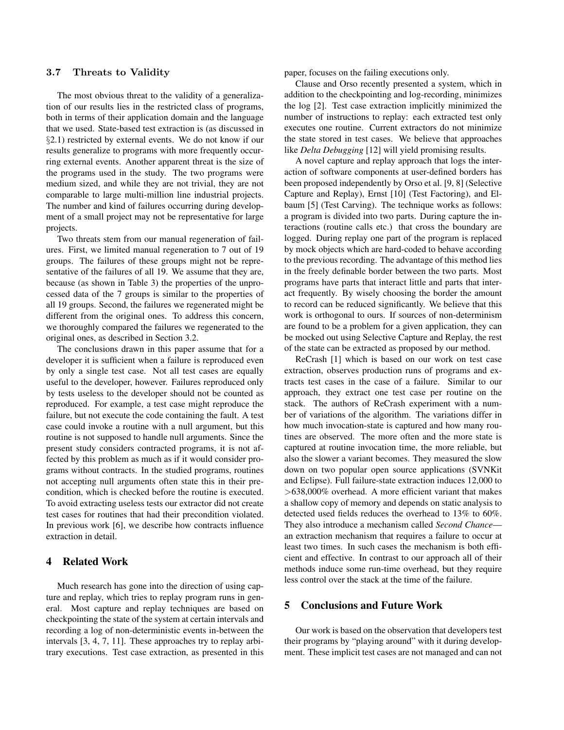# 3.7 Threats to Validity

The most obvious threat to the validity of a generalization of our results lies in the restricted class of programs, both in terms of their application domain and the language that we used. State-based test extraction is (as discussed in §2.1) restricted by external events. We do not know if our results generalize to programs with more frequently occurring external events. Another apparent threat is the size of the programs used in the study. The two programs were medium sized, and while they are not trivial, they are not comparable to large multi-million line industrial projects. The number and kind of failures occurring during development of a small project may not be representative for large projects.

Two threats stem from our manual regeneration of failures. First, we limited manual regeneration to 7 out of 19 groups. The failures of these groups might not be representative of the failures of all 19. We assume that they are, because (as shown in Table 3) the properties of the unprocessed data of the 7 groups is similar to the properties of all 19 groups. Second, the failures we regenerated might be different from the original ones. To address this concern, we thoroughly compared the failures we regenerated to the original ones, as described in Section 3.2.

The conclusions drawn in this paper assume that for a developer it is sufficient when a failure is reproduced even by only a single test case. Not all test cases are equally useful to the developer, however. Failures reproduced only by tests useless to the developer should not be counted as reproduced. For example, a test case might reproduce the failure, but not execute the code containing the fault. A test case could invoke a routine with a null argument, but this routine is not supposed to handle null arguments. Since the present study considers contracted programs, it is not affected by this problem as much as if it would consider programs without contracts. In the studied programs, routines not accepting null arguments often state this in their precondition, which is checked before the routine is executed. To avoid extracting useless tests our extractor did not create test cases for routines that had their precondition violated. In previous work [6], we describe how contracts influence extraction in detail.

# 4 Related Work

Much research has gone into the direction of using capture and replay, which tries to replay program runs in general. Most capture and replay techniques are based on checkpointing the state of the system at certain intervals and recording a log of non-deterministic events in-between the intervals [3, 4, 7, 11]. These approaches try to replay arbitrary executions. Test case extraction, as presented in this paper, focuses on the failing executions only.

Clause and Orso recently presented a system, which in addition to the checkpointing and log-recording, minimizes the log [2]. Test case extraction implicitly minimized the number of instructions to replay: each extracted test only executes one routine. Current extractors do not minimize the state stored in test cases. We believe that approaches like *Delta Debugging* [12] will yield promising results.

A novel capture and replay approach that logs the interaction of software components at user-defined borders has been proposed independently by Orso et al. [9, 8] (Selective Capture and Replay), Ernst [10] (Test Factoring), and Elbaum [5] (Test Carving). The technique works as follows: a program is divided into two parts. During capture the interactions (routine calls etc.) that cross the boundary are logged. During replay one part of the program is replaced by mock objects which are hard-coded to behave according to the previous recording. The advantage of this method lies in the freely definable border between the two parts. Most programs have parts that interact little and parts that interact frequently. By wisely choosing the border the amount to record can be reduced significantly. We believe that this work is orthogonal to ours. If sources of non-determinism are found to be a problem for a given application, they can be mocked out using Selective Capture and Replay, the rest of the state can be extracted as proposed by our method.

ReCrash [1] which is based on our work on test case extraction, observes production runs of programs and extracts test cases in the case of a failure. Similar to our approach, they extract one test case per routine on the stack. The authors of ReCrash experiment with a number of variations of the algorithm. The variations differ in how much invocation-state is captured and how many routines are observed. The more often and the more state is captured at routine invocation time, the more reliable, but also the slower a variant becomes. They measured the slow down on two popular open source applications (SVNKit and Eclipse). Full failure-state extraction induces 12,000 to >638,000% overhead. A more efficient variant that makes a shallow copy of memory and depends on static analysis to detected used fields reduces the overhead to 13% to 60%. They also introduce a mechanism called *Second Chance* an extraction mechanism that requires a failure to occur at least two times. In such cases the mechanism is both efficient and effective. In contrast to our approach all of their methods induce some run-time overhead, but they require less control over the stack at the time of the failure.

### 5 Conclusions and Future Work

Our work is based on the observation that developers test their programs by "playing around" with it during development. These implicit test cases are not managed and can not